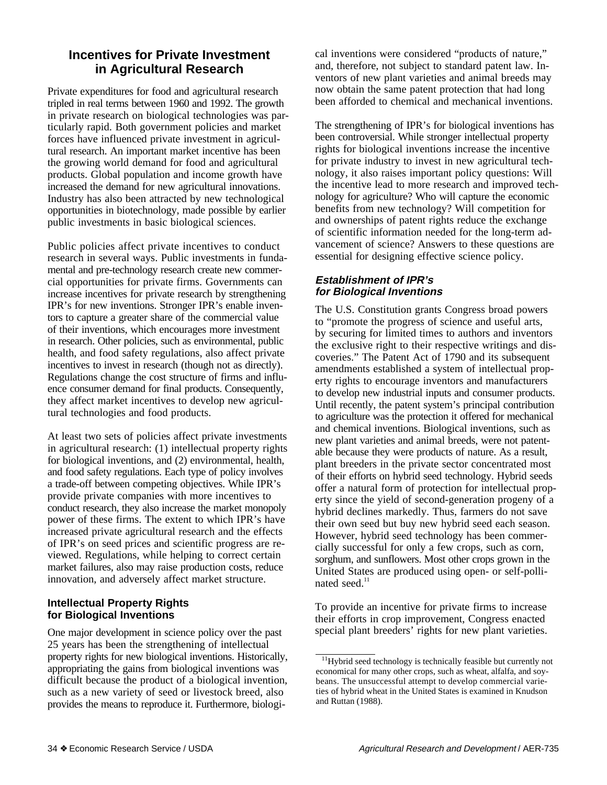# **Incentives for Private Investment in Agricultural Research**

Private expenditures for food and agricultural research tripled in real terms between 1960 and 1992. The growth in private research on biological technologies was particularly rapid. Both government policies and market forces have influenced private investment in agricultural research. An important market incentive has been the growing world demand for food and agricultural products. Global population and income growth have increased the demand for new agricultural innovations. Industry has also been attracted by new technological opportunities in biotechnology, made possible by earlier public investments in basic biological sciences.

Public policies affect private incentives to conduct research in several ways. Public investments in fundamental and pre-technology research create new commercial opportunities for private firms. Governments can increase incentives for private research by strengthening IPR's for new inventions. Stronger IPR's enable inventors to capture a greater share of the commercial value of their inventions, which encourages more investment in research. Other policies, such as environmental, public health, and food safety regulations, also affect private incentives to invest in research (though not as directly). Regulations change the cost structure of firms and influence consumer demand for final products. Consequently, they affect market incentives to develop new agricultural technologies and food products.

At least two sets of policies affect private investments in agricultural research: (1) intellectual property rights for biological inventions, and (2) environmental, health, and food safety regulations. Each type of policy involves a trade-off between competing objectives. While IPR's provide private companies with more incentives to conduct research, they also increase the market monopoly power of these firms. The extent to which IPR's have increased private agricultural research and the effects of IPR's on seed prices and scientific progress are reviewed. Regulations, while helping to correct certain market failures, also may raise production costs, reduce innovation, and adversely affect market structure.

## **Intellectual Property Rights for Biological Inventions**

One major development in science policy over the past 25 years has been the strengthening of intellectual property rights for new biological inventions. Historically, appropriating the gains from biological inventions was difficult because the product of a biological invention, such as a new variety of seed or livestock breed, also provides the means to reproduce it. Furthermore, biological inventions were considered "products of nature," and, therefore, not subject to standard patent law. Inventors of new plant varieties and animal breeds may now obtain the same patent protection that had long been afforded to chemical and mechanical inventions.

The strengthening of IPR's for biological inventions has been controversial. While stronger intellectual property rights for biological inventions increase the incentive for private industry to invest in new agricultural technology, it also raises important policy questions: Will the incentive lead to more research and improved technology for agriculture? Who will capture the economic benefits from new technology? Will competition for and ownerships of patent rights reduce the exchange of scientific information needed for the long-term advancement of science? Answers to these questions are essential for designing effective science policy.

## **Establishment of IPR's for Biological Inventions**

The U.S. Constitution grants Congress broad powers to "promote the progress of science and useful arts, by securing for limited times to authors and inventors the exclusive right to their respective writings and discoveries." The Patent Act of 1790 and its subsequent amendments established a system of intellectual property rights to encourage inventors and manufacturers to develop new industrial inputs and consumer products. Until recently, the patent system's principal contribution to agriculture was the protection it offered for mechanical and chemical inventions. Biological inventions, such as new plant varieties and animal breeds, were not patentable because they were products of nature. As a result, plant breeders in the private sector concentrated most of their efforts on hybrid seed technology. Hybrid seeds offer a natural form of protection for intellectual property since the yield of second-generation progeny of a hybrid declines markedly. Thus, farmers do not save their own seed but buy new hybrid seed each season. However, hybrid seed technology has been commercially successful for only a few crops, such as corn, sorghum, and sunflowers. Most other crops grown in the United States are produced using open- or self-pollinated seed.<sup>11</sup>

To provide an incentive for private firms to increase their efforts in crop improvement, Congress enacted special plant breeders' rights for new plant varieties.

<sup>&</sup>lt;sup>11</sup>Hybrid seed technology is technically feasible but currently not economical for many other crops, such as wheat, alfalfa, and soybeans. The unsuccessful attempt to develop commercial varieties of hybrid wheat in the United States is examined in Knudson and Ruttan (1988).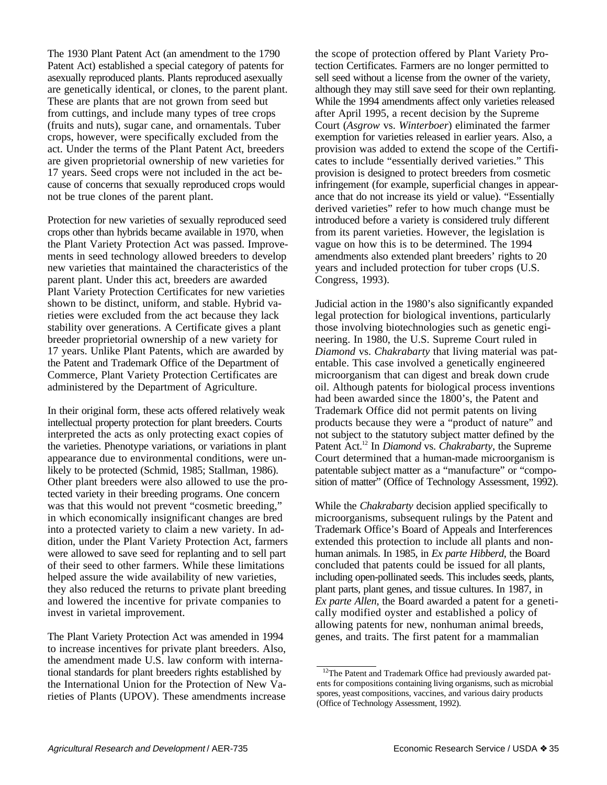The 1930 Plant Patent Act (an amendment to the 1790 Patent Act) established a special category of patents for asexually reproduced plants. Plants reproduced asexually are genetically identical, or clones, to the parent plant. These are plants that are not grown from seed but from cuttings, and include many types of tree crops (fruits and nuts), sugar cane, and ornamentals. Tuber crops, however, were specifically excluded from the act. Under the terms of the Plant Patent Act, breeders are given proprietorial ownership of new varieties for 17 years. Seed crops were not included in the act because of concerns that sexually reproduced crops would not be true clones of the parent plant.

Protection for new varieties of sexually reproduced seed crops other than hybrids became available in 1970, when the Plant Variety Protection Act was passed. Improvements in seed technology allowed breeders to develop new varieties that maintained the characteristics of the parent plant. Under this act, breeders are awarded Plant Variety Protection Certificates for new varieties shown to be distinct, uniform, and stable. Hybrid varieties were excluded from the act because they lack stability over generations. A Certificate gives a plant breeder proprietorial ownership of a new variety for 17 years. Unlike Plant Patents, which are awarded by the Patent and Trademark Office of the Department of Commerce, Plant Variety Protection Certificates are administered by the Department of Agriculture.

In their original form, these acts offered relatively weak intellectual property protection for plant breeders. Courts interpreted the acts as only protecting exact copies of the varieties. Phenotype variations, or variations in plant appearance due to environmental conditions, were unlikely to be protected (Schmid, 1985; Stallman, 1986). Other plant breeders were also allowed to use the protected variety in their breeding programs. One concern was that this would not prevent "cosmetic breeding," in which economically insignificant changes are bred into a protected variety to claim a new variety. In addition, under the Plant Variety Protection Act, farmers were allowed to save seed for replanting and to sell part of their seed to other farmers. While these limitations helped assure the wide availability of new varieties, they also reduced the returns to private plant breeding and lowered the incentive for private companies to invest in varietal improvement.

The Plant Variety Protection Act was amended in 1994 to increase incentives for private plant breeders. Also, the amendment made U.S. law conform with international standards for plant breeders rights established by the International Union for the Protection of New Varieties of Plants (UPOV). These amendments increase the scope of protection offered by Plant Variety Protection Certificates. Farmers are no longer permitted to sell seed without a license from the owner of the variety, although they may still save seed for their own replanting. While the 1994 amendments affect only varieties released after April 1995, a recent decision by the Supreme Court (*Asgrow* vs. *Winterboer*) eliminated the farmer exemption for varieties released in earlier years. Also, a provision was added to extend the scope of the Certificates to include "essentially derived varieties." This provision is designed to protect breeders from cosmetic infringement (for example, superficial changes in appearance that do not increase its yield or value). "Essentially derived varieties" refer to how much change must be introduced before a variety is considered truly different from its parent varieties. However, the legislation is vague on how this is to be determined. The 1994 amendments also extended plant breeders' rights to 20 years and included protection for tuber crops (U.S. Congress, 1993).

Judicial action in the 1980's also significantly expanded legal protection for biological inventions, particularly those involving biotechnologies such as genetic engineering. In 1980, the U.S. Supreme Court ruled in *Diamond* vs. *Chakrabarty* that living material was patentable. This case involved a genetically engineered microorganism that can digest and break down crude oil. Although patents for biological process inventions had been awarded since the 1800's, the Patent and Trademark Office did not permit patents on living products because they were a "product of nature" and not subject to the statutory subject matter defined by the Patent Act.12 In *Diamond* vs. *Chakrabarty*, the Supreme Court determined that a human-made microorganism is patentable subject matter as a "manufacture" or "composition of matter" (Office of Technology Assessment, 1992).

While the *Chakrabarty* decision applied specifically to microorganisms, subsequent rulings by the Patent and Trademark Office's Board of Appeals and Interferences extended this protection to include all plants and nonhuman animals. In 1985, in *Ex parte Hibberd*, the Board concluded that patents could be issued for all plants, including open-pollinated seeds. This includes seeds, plants, plant parts, plant genes, and tissue cultures. In 1987, in *Ex parte Allen*, the Board awarded a patent for a genetically modified oyster and established a policy of allowing patents for new, nonhuman animal breeds, genes, and traits. The first patent for a mammalian

<sup>&</sup>lt;sup>12</sup>The Patent and Trademark Office had previously awarded patents for compositions containing living organisms, such as microbial spores, yeast compositions, vaccines, and various dairy products (Office of Technology Assessment, 1992).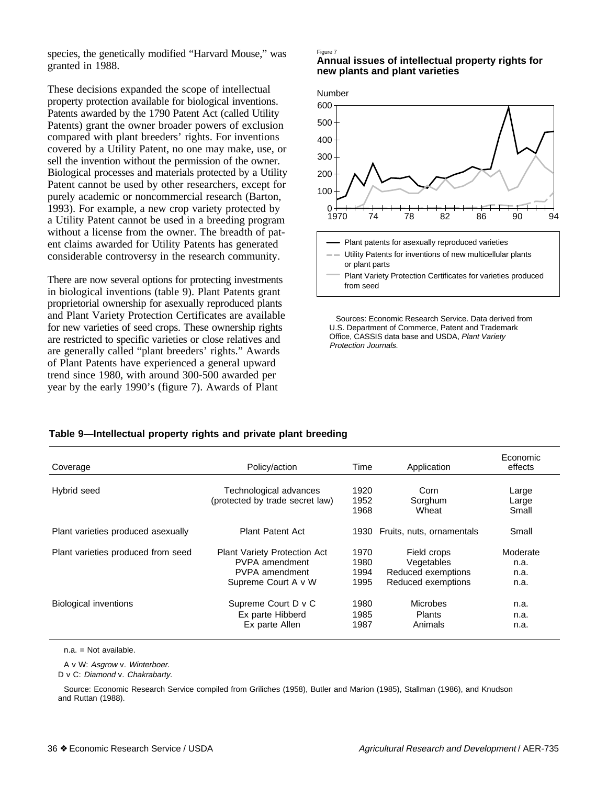species, the genetically modified "Harvard Mouse," was granted in 1988.

These decisions expanded the scope of intellectual property protection available for biological inventions. Patents awarded by the 1790 Patent Act (called Utility Patents) grant the owner broader powers of exclusion compared with plant breeders' rights. For inventions covered by a Utility Patent, no one may make, use, or sell the invention without the permission of the owner. Biological processes and materials protected by a Utility Patent cannot be used by other researchers, except for purely academic or noncommercial research (Barton, 1993). For example, a new crop variety protected by a Utility Patent cannot be used in a breeding program without a license from the owner. The breadth of patent claims awarded for Utility Patents has generated considerable controversy in the research community.

There are now several options for protecting investments in biological inventions (table 9). Plant Patents grant proprietorial ownership for asexually reproduced plants and Plant Variety Protection Certificates are available for new varieties of seed crops. These ownership rights are restricted to specific varieties or close relatives and are generally called "plant breeders' rights." Awards of Plant Patents have experienced a general upward trend since 1980, with around 300-500 awarded per year by the early 1990's (figure 7). Awards of Plant

#### Figure 7

**Annual issues of intellectual property rights for new plants and plant varieties**



 Sources: Economic Research Service. Data derived from U.S. Department of Commerce, Patent and Trademark Office, CASSIS data base and USDA, Plant Variety Protection Journals.

### **Table 9—Intellectual property rights and private plant breeding**

| Coverage                           | Policy/action                                                                                         | Time                         | Application                                                           | Economic<br>effects              |
|------------------------------------|-------------------------------------------------------------------------------------------------------|------------------------------|-----------------------------------------------------------------------|----------------------------------|
| Hybrid seed                        | Technological advances<br>(protected by trade secret law)                                             | 1920<br>1952<br>1968         | Corn<br>Sorghum<br>Wheat                                              | Large<br>Large<br>Small          |
| Plant varieties produced asexually | <b>Plant Patent Act</b>                                                                               | 1930                         | Fruits, nuts, ornamentals                                             | Small                            |
| Plant varieties produced from seed | <b>Plant Variety Protection Act</b><br>PVPA amendment<br><b>PVPA</b> amendment<br>Supreme Court A v W | 1970<br>1980<br>1994<br>1995 | Field crops<br>Vegetables<br>Reduced exemptions<br>Reduced exemptions | Moderate<br>n.a.<br>n.a.<br>n.a. |
| <b>Biological inventions</b>       | Supreme Court D v C<br>Ex parte Hibberd<br>Ex parte Allen                                             | 1980<br>1985<br>1987         | <b>Microbes</b><br>Plants<br>Animals                                  | n.a.<br>n.a.<br>n.a.             |

 $n a = Not available$ .

A v W: Asgrow v. Winterboer.

D v C: Diamond v. Chakrabarty.

Source: Economic Research Service compiled from Griliches (1958), Butler and Marion (1985), Stallman (1986), and Knudson and Ruttan (1988).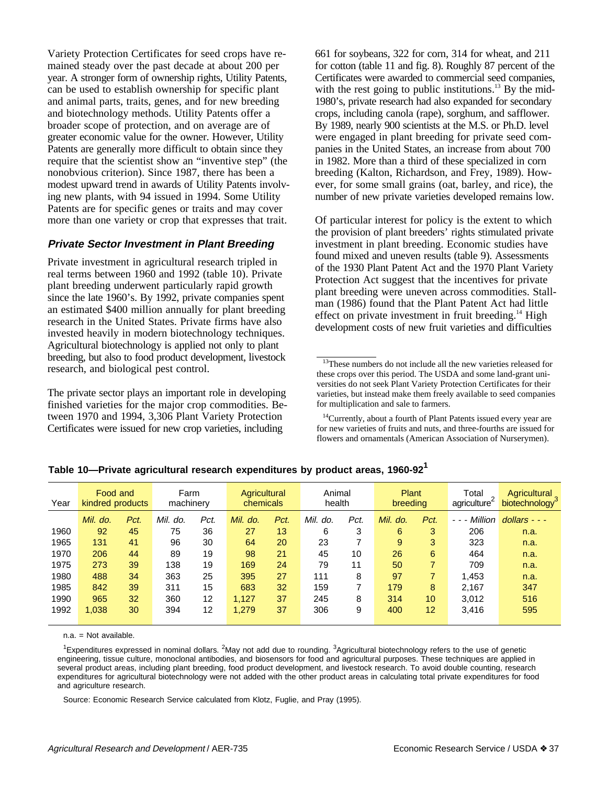Variety Protection Certificates for seed crops have remained steady over the past decade at about 200 per year. A stronger form of ownership rights, Utility Patents, can be used to establish ownership for specific plant and animal parts, traits, genes, and for new breeding and biotechnology methods. Utility Patents offer a broader scope of protection, and on average are of greater economic value for the owner. However, Utility Patents are generally more difficult to obtain since they require that the scientist show an "inventive step" (the nonobvious criterion). Since 1987, there has been a modest upward trend in awards of Utility Patents involving new plants, with 94 issued in 1994. Some Utility Patents are for specific genes or traits and may cover more than one variety or crop that expresses that trait.

## **Private Sector Investment in Plant Breeding**

Private investment in agricultural research tripled in real terms between 1960 and 1992 (table 10). Private plant breeding underwent particularly rapid growth since the late 1960's. By 1992, private companies spent an estimated \$400 million annually for plant breeding research in the United States. Private firms have also invested heavily in modern biotechnology techniques. Agricultural biotechnology is applied not only to plant breeding, but also to food product development, livestock research, and biological pest control.

The private sector plays an important role in developing finished varieties for the major crop commodities. Between 1970 and 1994, 3,306 Plant Variety Protection Certificates were issued for new crop varieties, including

661 for soybeans, 322 for corn, 314 for wheat, and 211 for cotton (table 11 and fig. 8). Roughly 87 percent of the Certificates were awarded to commercial seed companies, with the rest going to public institutions.<sup>13</sup> By the mid-1980's, private research had also expanded for secondary crops, including canola (rape), sorghum, and safflower. By 1989, nearly 900 scientists at the M.S. or Ph.D. level were engaged in plant breeding for private seed companies in the United States, an increase from about 700 in 1982. More than a third of these specialized in corn breeding (Kalton, Richardson, and Frey, 1989). However, for some small grains (oat, barley, and rice), the number of new private varieties developed remains low.

Of particular interest for policy is the extent to which the provision of plant breeders' rights stimulated private investment in plant breeding. Economic studies have found mixed and uneven results (table 9). Assessments of the 1930 Plant Patent Act and the 1970 Plant Variety Protection Act suggest that the incentives for private plant breeding were uneven across commodities. Stallman (1986) found that the Plant Patent Act had little effect on private investment in fruit breeding. $^{14}$  High development costs of new fruit varieties and difficulties

<sup>&</sup>lt;sup>14</sup>Currently, about a fourth of Plant Patents issued every year are for new varieties of fruits and nuts, and three-fourths are issued for flowers and ornamentals (American Association of Nurserymen).

| Year | Food and<br>Farm<br>machinery<br>kindred products |      | Animal<br>Agricultural<br>chemicals<br>health |      |          | Plant<br>breeding |             | Total<br>agriculture | Agricultural<br>biotechnology <sup>3</sup> |                |                                                                                                                                                                                                                                                                                                                                                                                                                                                           |               |
|------|---------------------------------------------------|------|-----------------------------------------------|------|----------|-------------------|-------------|----------------------|--------------------------------------------|----------------|-----------------------------------------------------------------------------------------------------------------------------------------------------------------------------------------------------------------------------------------------------------------------------------------------------------------------------------------------------------------------------------------------------------------------------------------------------------|---------------|
|      | Mil. do.                                          | Pct. | Mil.<br>do.                                   | Pct. | Mil. do. | Pct.              | Mil.<br>do. | Pct.                 | Mil.<br>do.                                | Pct.           | Million<br>$\frac{1}{2} \left( \frac{1}{2} \right) + \frac{1}{2} \left( \frac{1}{2} \right) + \frac{1}{2} \left( \frac{1}{2} \right) + \frac{1}{2} \left( \frac{1}{2} \right) + \frac{1}{2} \left( \frac{1}{2} \right) + \frac{1}{2} \left( \frac{1}{2} \right) + \frac{1}{2} \left( \frac{1}{2} \right) + \frac{1}{2} \left( \frac{1}{2} \right) + \frac{1}{2} \left( \frac{1}{2} \right) + \frac{1}{2} \left( \frac{1}{2} \right) + \frac{1}{2} \left($ | $dollars - -$ |
| 1960 | 92                                                | 45   | 75                                            | 36   | 27       | 13                | 6           | 3                    | 6                                          | 3              | 206                                                                                                                                                                                                                                                                                                                                                                                                                                                       | n.a.          |
| 1965 | 131                                               | 41   | 96                                            | 30   | 64       | 20                | 23          |                      | 9                                          | 3              | 323                                                                                                                                                                                                                                                                                                                                                                                                                                                       | n.a.          |
| 1970 | 206                                               | 44   | 89                                            | 19   | 98       | 21                | 45          | 10                   | 26                                         | 6              | 464                                                                                                                                                                                                                                                                                                                                                                                                                                                       | n.a.          |
| 1975 | 273                                               | 39   | 138                                           | 19   | 169      | 24                | 79          | 11                   | 50                                         | $\overline{7}$ | 709                                                                                                                                                                                                                                                                                                                                                                                                                                                       | n.a.          |
| 1980 | 488                                               | 34   | 363                                           | 25   | 395      | 27                | 111         | 8                    | 97                                         | $\overline{7}$ | 1.453                                                                                                                                                                                                                                                                                                                                                                                                                                                     | n.a.          |
| 1985 | 842                                               | 39   | 311                                           | 15   | 683      | 32                | 159         | 7                    | 179                                        | 8              | 2.167                                                                                                                                                                                                                                                                                                                                                                                                                                                     | 347           |
| 1990 | 965                                               | 32   | 360                                           | 12   | 1.127    | 37                | 245         | 8                    | 314                                        | 10             | 3.012                                                                                                                                                                                                                                                                                                                                                                                                                                                     | 516           |
| 1992 | 1,038                                             | 30   | 394                                           | 12   | 1,279    | 37                | 306         | 9                    | 400                                        | 12             | 3,416                                                                                                                                                                                                                                                                                                                                                                                                                                                     | 595           |
|      |                                                   |      |                                               |      |          |                   |             |                      |                                            |                |                                                                                                                                                                                                                                                                                                                                                                                                                                                           |               |

**Table 10—Private agricultural research expenditures by product areas, 1960-921**

n.a. = Not available.

<sup>1</sup>Expenditures expressed in nominal dollars. <sup>2</sup>May not add due to rounding. <sup>3</sup>Agricultural biotechnology refers to the use of genetic engineering, tissue culture, monoclonal antibodies, and biosensors for food and agricultural purposes. These techniques are applied in several product areas, including plant breeding, food product development, and livestock research. To avoid double counting, research expenditures for agricultural biotechnology were not added with the other product areas in calculating total private expenditures for food and agriculture research.

Source: Economic Research Service calculated from Klotz, Fuglie, and Pray (1995).

<sup>&</sup>lt;sup>13</sup>These numbers do not include all the new varieties released for these crops over this period. The USDA and some land-grant universities do not seek Plant Variety Protection Certificates for their varieties, but instead make them freely available to seed companies for multiplication and sale to farmers.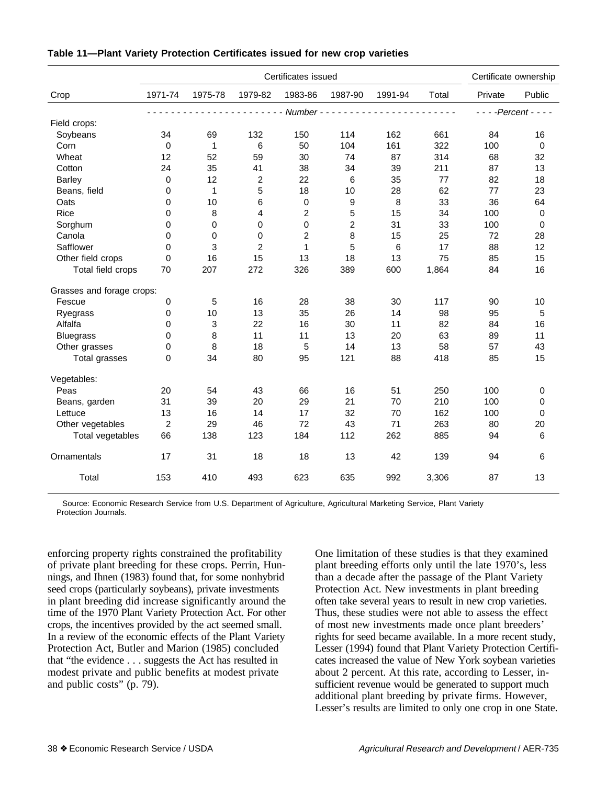|                                                                                                                                                                                                                                                                                                                                                                                                                                                                                                                                          | Certificates issued |              |                         |                |                |         |       |                       | Certificate ownership |  |
|------------------------------------------------------------------------------------------------------------------------------------------------------------------------------------------------------------------------------------------------------------------------------------------------------------------------------------------------------------------------------------------------------------------------------------------------------------------------------------------------------------------------------------------|---------------------|--------------|-------------------------|----------------|----------------|---------|-------|-----------------------|-----------------------|--|
| Crop                                                                                                                                                                                                                                                                                                                                                                                                                                                                                                                                     | 1971-74             | 1975-78      | 1979-82                 | 1983-86        | 1987-90        | 1991-94 | Total | Private               | Public                |  |
| - - - - - - - - - - - Number - - -<br><u>.</u><br>$\begin{array}{cccccccccccccc} \multicolumn{2}{c}{} & \multicolumn{2}{c}{} & \multicolumn{2}{c}{} & \multicolumn{2}{c}{} & \multicolumn{2}{c}{} & \multicolumn{2}{c}{} & \multicolumn{2}{c}{} & \multicolumn{2}{c}{} & \multicolumn{2}{c}{} & \multicolumn{2}{c}{} & \multicolumn{2}{c}{} & \multicolumn{2}{c}{} & \multicolumn{2}{c}{} & \multicolumn{2}{c}{} & \multicolumn{2}{c}{} & \multicolumn{2}{c}{} & \multicolumn{2}{c}{} & \multicolumn{2}{c}{} & \multicolumn{2}{c}{} & \$ |                     |              |                         |                |                |         |       | $- - -$ Percent $- -$ |                       |  |
| Field crops:                                                                                                                                                                                                                                                                                                                                                                                                                                                                                                                             |                     |              |                         |                |                |         |       |                       |                       |  |
| Soybeans                                                                                                                                                                                                                                                                                                                                                                                                                                                                                                                                 | 34                  | 69           | 132                     | 150            | 114            | 162     | 661   | 84                    | 16                    |  |
| Corn                                                                                                                                                                                                                                                                                                                                                                                                                                                                                                                                     | $\mathbf 0$         | $\mathbf{1}$ | 6                       | 50             | 104            | 161     | 322   | 100                   | $\boldsymbol{0}$      |  |
| Wheat                                                                                                                                                                                                                                                                                                                                                                                                                                                                                                                                    | 12                  | 52           | 59                      | 30             | 74             | 87      | 314   | 68                    | 32                    |  |
| Cotton                                                                                                                                                                                                                                                                                                                                                                                                                                                                                                                                   | 24                  | 35           | 41                      | 38             | 34             | 39      | 211   | 87                    | 13                    |  |
| <b>Barley</b>                                                                                                                                                                                                                                                                                                                                                                                                                                                                                                                            | $\mathbf 0$         | 12           | $\overline{\mathbf{c}}$ | 22             | $\,6$          | 35      | 77    | 82                    | 18                    |  |
| Beans, field                                                                                                                                                                                                                                                                                                                                                                                                                                                                                                                             | 0                   | $\mathbf{1}$ | 5                       | 18             | 10             | 28      | 62    | 77                    | 23                    |  |
| Oats                                                                                                                                                                                                                                                                                                                                                                                                                                                                                                                                     | 0                   | 10           | 6                       | $\pmb{0}$      | 9              | $\, 8$  | 33    | 36                    | 64                    |  |
| Rice                                                                                                                                                                                                                                                                                                                                                                                                                                                                                                                                     | 0                   | 8            | 4                       | $\overline{c}$ | 5              | 15      | 34    | 100                   | $\mathbf 0$           |  |
| Sorghum                                                                                                                                                                                                                                                                                                                                                                                                                                                                                                                                  | 0                   | 0            | 0                       | $\mathbf 0$    | $\overline{c}$ | 31      | 33    | 100                   | $\mathbf 0$           |  |
| Canola                                                                                                                                                                                                                                                                                                                                                                                                                                                                                                                                   | 0                   | $\mathbf 0$  | 0                       | $\overline{2}$ | 8              | 15      | 25    | 72                    | 28                    |  |
| Safflower                                                                                                                                                                                                                                                                                                                                                                                                                                                                                                                                | $\mathbf 0$         | 3            | $\overline{2}$          | $\mathbf 1$    | 5              | 6       | 17    | 88                    | 12                    |  |
| Other field crops                                                                                                                                                                                                                                                                                                                                                                                                                                                                                                                        | $\Omega$            | 16           | 15                      | 13             | 18             | 13      | 75    | 85                    | 15                    |  |
| Total field crops                                                                                                                                                                                                                                                                                                                                                                                                                                                                                                                        | 70                  | 207          | 272                     | 326            | 389            | 600     | 1,864 | 84                    | 16                    |  |
| Grasses and forage crops:                                                                                                                                                                                                                                                                                                                                                                                                                                                                                                                |                     |              |                         |                |                |         |       |                       |                       |  |
| Fescue                                                                                                                                                                                                                                                                                                                                                                                                                                                                                                                                   | $\mathbf 0$         | 5            | 16                      | 28             | 38             | 30      | 117   | 90                    | 10                    |  |
| Ryegrass                                                                                                                                                                                                                                                                                                                                                                                                                                                                                                                                 | 0                   | 10           | 13                      | 35             | 26             | 14      | 98    | 95                    | 5                     |  |
| Alfalfa                                                                                                                                                                                                                                                                                                                                                                                                                                                                                                                                  | 0                   | 3            | 22                      | 16             | 30             | 11      | 82    | 84                    | 16                    |  |
| <b>Bluegrass</b>                                                                                                                                                                                                                                                                                                                                                                                                                                                                                                                         | 0                   | 8            | 11                      | 11             | 13             | 20      | 63    | 89                    | 11                    |  |
| Other grasses                                                                                                                                                                                                                                                                                                                                                                                                                                                                                                                            | 0                   | 8            | 18                      | 5              | 14             | 13      | 58    | 57                    | 43                    |  |
| Total grasses                                                                                                                                                                                                                                                                                                                                                                                                                                                                                                                            | $\Omega$            | 34           | 80                      | 95             | 121            | 88      | 418   | 85                    | 15                    |  |
| Vegetables:                                                                                                                                                                                                                                                                                                                                                                                                                                                                                                                              |                     |              |                         |                |                |         |       |                       |                       |  |
| Peas                                                                                                                                                                                                                                                                                                                                                                                                                                                                                                                                     | 20                  | 54           | 43                      | 66             | 16             | 51      | 250   | 100                   | 0                     |  |
| Beans, garden                                                                                                                                                                                                                                                                                                                                                                                                                                                                                                                            | 31                  | 39           | 20                      | 29             | 21             | 70      | 210   | 100                   | $\mathbf 0$           |  |
| Lettuce                                                                                                                                                                                                                                                                                                                                                                                                                                                                                                                                  | 13                  | 16           | 14                      | 17             | 32             | 70      | 162   | 100                   | $\mathbf 0$           |  |
| Other vegetables                                                                                                                                                                                                                                                                                                                                                                                                                                                                                                                         | $\overline{c}$      | 29           | 46                      | 72             | 43             | 71      | 263   | 80                    | 20                    |  |
| Total vegetables                                                                                                                                                                                                                                                                                                                                                                                                                                                                                                                         | 66                  | 138          | 123                     | 184            | 112            | 262     | 885   | 94                    | 6                     |  |
| Ornamentals                                                                                                                                                                                                                                                                                                                                                                                                                                                                                                                              | 17                  | 31           | 18                      | 18             | 13             | 42      | 139   | 94                    | 6                     |  |
| Total                                                                                                                                                                                                                                                                                                                                                                                                                                                                                                                                    | 153                 | 410          | 493                     | 623            | 635            | 992     | 3,306 | 87                    | 13                    |  |

### **Table 11—Plant Variety Protection Certificates issued for new crop varieties**

Source: Economic Research Service from U.S. Department of Agriculture, Agricultural Marketing Service, Plant Variety Protection Journals.

enforcing property rights constrained the profitability of private plant breeding for these crops. Perrin, Hunnings, and Ihnen (1983) found that, for some nonhybrid seed crops (particularly soybeans), private investments in plant breeding did increase significantly around the time of the 1970 Plant Variety Protection Act. For other crops, the incentives provided by the act seemed small. In a review of the economic effects of the Plant Variety Protection Act, Butler and Marion (1985) concluded that "the evidence . . . suggests the Act has resulted in modest private and public benefits at modest private and public costs" (p. 79).

One limitation of these studies is that they examined plant breeding efforts only until the late 1970's, less than a decade after the passage of the Plant Variety Protection Act. New investments in plant breeding often take several years to result in new crop varieties. Thus, these studies were not able to assess the effect of most new investments made once plant breeders' rights for seed became available. In a more recent study, Lesser (1994) found that Plant Variety Protection Certificates increased the value of New York soybean varieties about 2 percent. At this rate, according to Lesser, insufficient revenue would be generated to support much additional plant breeding by private firms. However, Lesser's results are limited to only one crop in one State.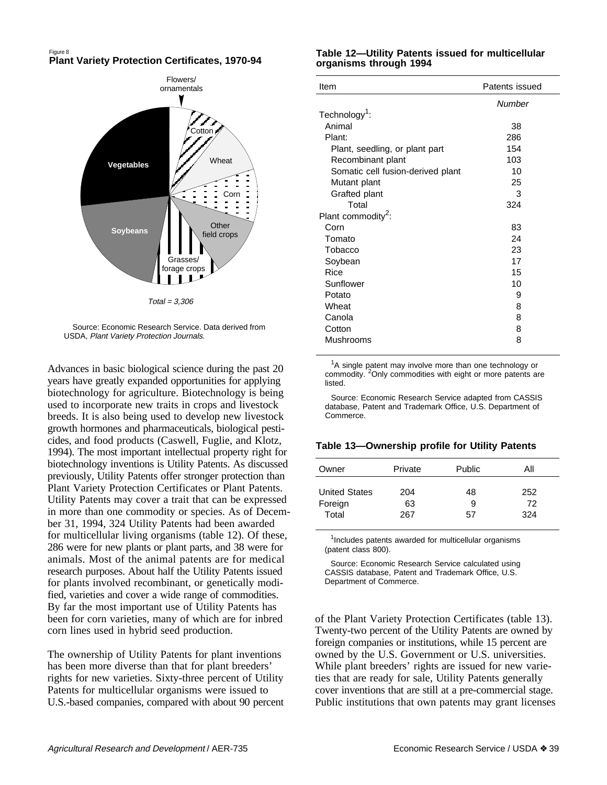#### Figure 8 **Plant Variety Protection Certificates, 1970-94**



 Source: Economic Research Service. Data derived from USDA, Plant Variety Protection Journals.

Advances in basic biological science during the past 20 years have greatly expanded opportunities for applying biotechnology for agriculture. Biotechnology is being used to incorporate new traits in crops and livestock breeds. It is also being used to develop new livestock growth hormones and pharmaceuticals, biological pesticides, and food products (Caswell, Fuglie, and Klotz, 1994). The most important intellectual property right for biotechnology inventions is Utility Patents. As discussed previously, Utility Patents offer stronger protection than Plant Variety Protection Certificates or Plant Patents. Utility Patents may cover a trait that can be expressed in more than one commodity or species. As of December 31, 1994, 324 Utility Patents had been awarded for multicellular living organisms (table 12). Of these, 286 were for new plants or plant parts, and 38 were for animals. Most of the animal patents are for medical research purposes. About half the Utility Patents issued for plants involved recombinant, or genetically modified, varieties and cover a wide range of commodities. By far the most important use of Utility Patents has been for corn varieties, many of which are for inbred corn lines used in hybrid seed production.

The ownership of Utility Patents for plant inventions has been more diverse than that for plant breeders' rights for new varieties. Sixty-three percent of Utility Patents for multicellular organisms were issued to U.S.-based companies, compared with about 90 percent

### **Table 12—Utility Patents issued for multicellular organisms through 1994**

| Item                              | Patents issued |
|-----------------------------------|----------------|
|                                   | Number         |
| Technology <sup>1</sup> :         |                |
| Animal                            | 38             |
| Plant:                            | 286            |
| Plant, seedling, or plant part    | 154            |
| Recombinant plant                 | 103            |
| Somatic cell fusion-derived plant | 10             |
| Mutant plant                      | 25             |
| Grafted plant                     | 3              |
| Total                             | 324            |
| Plant commodity <sup>2</sup> :    |                |
| Corn                              | 83             |
| Tomato                            | 24             |
| Tobacco                           | 23             |
| Soybean                           | 17             |
| Rice                              | 15             |
| Sunflower                         | 10             |
| Potato                            | 9              |
| Wheat                             | 8              |
| Canola                            | 8              |
| Cotton                            | 8              |
| Mushrooms                         | 8              |
|                                   |                |

 $1A$  single patent may involve more than one technology or commodity. <sup>2</sup>Only commodities with eight or more patents are listed.

Source: Economic Research Service adapted from CASSIS database, Patent and Trademark Office, U.S. Department of Commerce.

### **Table 13—Ownership profile for Utility Patents**

| Owner                                    | Private          | Public        | Αll              |
|------------------------------------------|------------------|---------------|------------------|
| <b>United States</b><br>Foreign<br>Total | 204<br>63<br>267 | 48<br>9<br>57 | 252<br>72<br>324 |
|                                          |                  |               |                  |

<sup>1</sup>Includes patents awarded for multicellular organisms (patent class 800).

Source: Economic Research Service calculated using CASSIS database, Patent and Trademark Office, U.S. Department of Commerce.

of the Plant Variety Protection Certificates (table 13). Twenty-two percent of the Utility Patents are owned by foreign companies or institutions, while 15 percent are owned by the U.S. Government or U.S. universities. While plant breeders' rights are issued for new varieties that are ready for sale, Utility Patents generally cover inventions that are still at a pre-commercial stage. Public institutions that own patents may grant licenses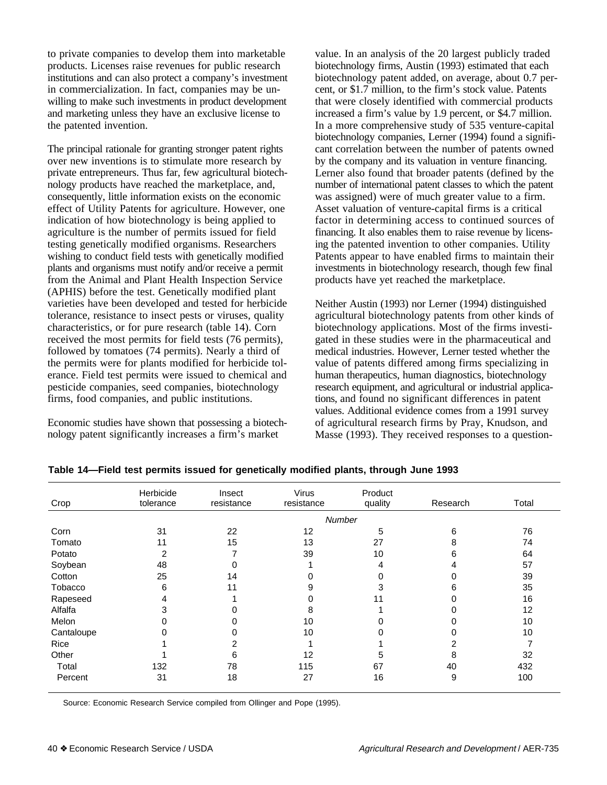to private companies to develop them into marketable products. Licenses raise revenues for public research institutions and can also protect a company's investment in commercialization. In fact, companies may be unwilling to make such investments in product development and marketing unless they have an exclusive license to the patented invention.

The principal rationale for granting stronger patent rights over new inventions is to stimulate more research by private entrepreneurs. Thus far, few agricultural biotechnology products have reached the marketplace, and, consequently, little information exists on the economic effect of Utility Patents for agriculture. However, one indication of how biotechnology is being applied to agriculture is the number of permits issued for field testing genetically modified organisms. Researchers wishing to conduct field tests with genetically modified plants and organisms must notify and/or receive a permit from the Animal and Plant Health Inspection Service (APHIS) before the test. Genetically modified plant varieties have been developed and tested for herbicide tolerance, resistance to insect pests or viruses, quality characteristics, or for pure research (table 14). Corn received the most permits for field tests (76 permits), followed by tomatoes (74 permits). Nearly a third of the permits were for plants modified for herbicide tolerance. Field test permits were issued to chemical and pesticide companies, seed companies, biotechnology firms, food companies, and public institutions.

Economic studies have shown that possessing a biotechnology patent significantly increases a firm's market

value. In an analysis of the 20 largest publicly traded biotechnology firms, Austin (1993) estimated that each biotechnology patent added, on average, about 0.7 percent, or \$1.7 million, to the firm's stock value. Patents that were closely identified with commercial products increased a firm's value by 1.9 percent, or \$4.7 million. In a more comprehensive study of 535 venture-capital biotechnology companies, Lerner (1994) found a significant correlation between the number of patents owned by the company and its valuation in venture financing. Lerner also found that broader patents (defined by the number of international patent classes to which the patent was assigned) were of much greater value to a firm. Asset valuation of venture-capital firms is a critical factor in determining access to continued sources of financing. It also enables them to raise revenue by licensing the patented invention to other companies. Utility Patents appear to have enabled firms to maintain their investments in biotechnology research, though few final products have yet reached the marketplace.

Neither Austin (1993) nor Lerner (1994) distinguished agricultural biotechnology patents from other kinds of biotechnology applications. Most of the firms investigated in these studies were in the pharmaceutical and medical industries. However, Lerner tested whether the value of patents differed among firms specializing in human therapeutics, human diagnostics, biotechnology research equipment, and agricultural or industrial applications, and found no significant differences in patent values. Additional evidence comes from a 1991 survey of agricultural research firms by Pray, Knudson, and Masse (1993). They received responses to a question-

|            | Herbicide | Insect     | Virus      | Product       |          |       |
|------------|-----------|------------|------------|---------------|----------|-------|
| Crop       | tolerance | resistance | resistance | quality       | Research | Total |
|            |           |            |            | <b>Number</b> |          |       |
| Corn       | 31        | 22         | 12         | 5             | 6        | 76    |
| Tomato     | 11        | 15         | 13         | 27            | 8        | 74    |
| Potato     | 2         |            | 39         | 10            | 6        | 64    |
| Soybean    | 48        | 0          |            | 4             |          | 57    |
| Cotton     | 25        | 14         | 0          | $\Omega$      |          | 39    |
| Tobacco    | 6         | 11         | 9          | 3             | 6        | 35    |
| Rapeseed   | 4         |            | ი          | 11            |          | 16    |
| Alfalfa    | 3         | 0          | 8          |               |          | 12    |
| Melon      |           |            | 10         |               |          | 10    |
| Cantaloupe |           |            | 10         |               |          | 10    |
| Rice       |           | ⌒          |            |               |          |       |
| Other      |           | 6          | 12         | 5             | 8        | 32    |
| Total      | 132       | 78         | 115        | 67            | 40       | 432   |
| Percent    | 31        | 18         | 27         | 16            | 9        | 100   |
|            |           |            |            |               |          |       |

**Table 14—Field test permits issued for genetically modified plants, through June 1993**

Source: Economic Research Service compiled from Ollinger and Pope (1995).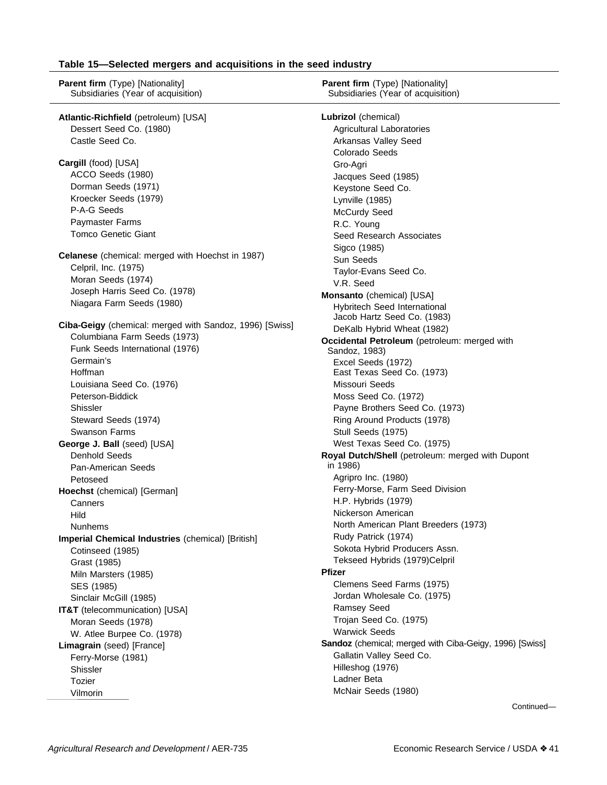#### **Table 15—Selected mergers and acquisitions in the seed industry**

**Parent firm** (Type) [Nationality] Subsidiaries (Year of acquisition) **Atlantic-Richfield** (petroleum) [USA] Dessert Seed Co. (1980) Castle Seed Co. **Cargill** (food) [USA] ACCO Seeds (1980) Dorman Seeds (1971) Kroecker Seeds (1979) P-A-G Seeds Paymaster Farms Tomco Genetic Giant **Celanese** (chemical: merged with Hoechst in 1987) Celpril, Inc. (1975) Moran Seeds (1974) Joseph Harris Seed Co. (1978) Niagara Farm Seeds (1980) **Ciba-Geigy** (chemical: merged with Sandoz, 1996) [Swiss] Columbiana Farm Seeds (1973) Funk Seeds International (1976) Germain's Hoffman Louisiana Seed Co. (1976) Peterson-Biddick Shissler Steward Seeds (1974) Swanson Farms **George J. Ball** (seed) [USA] Denhold Seeds Pan-American Seeds Petoseed **Hoechst** (chemical) [German] **Canners** Hild Nunhems **Imperial Chemical Industries** (chemical) [British] Cotinseed (1985) Grast (1985) Miln Marsters (1985) SES (1985) Sinclair McGill (1985) **IT&T** (telecommunication) [USA] Moran Seeds (1978) W. Atlee Burpee Co. (1978) **Limagrain** (seed) [France] Ferry-Morse (1981) Shissler Tozier Vilmorin **Lubrizol** (chemical) Agricultural Laboratories Arkansas Valley Seed Colorado Seeds Gro-Agri Jacques Seed (1985) Keystone Seed Co. Lynville (1985) McCurdy Seed R.C. Young Seed Research Associates Sigco (1985) Sun Seeds Taylor-Evans Seed Co. V.R. Seed **Monsanto** (chemical) [USA] Hybritech Seed International Jacob Hartz Seed Co. (1983) DeKalb Hybrid Wheat (1982) **Occidental Petroleum** (petroleum: merged with Sandoz, 1983) Excel Seeds (1972) East Texas Seed Co. (1973) Missouri Seeds Moss Seed Co. (1972) Payne Brothers Seed Co. (1973) Ring Around Products (1978) Stull Seeds (1975) West Texas Seed Co. (1975) **Royal Dutch/Shell** (petroleum: merged with Dupont in 1986) Agripro Inc. (1980) Ferry-Morse, Farm Seed Division H.P. Hybrids (1979) Nickerson American North American Plant Breeders (1973) Rudy Patrick (1974) Sokota Hybrid Producers Assn. Tekseed Hybrids (1979)Celpril **Pfizer** Clemens Seed Farms (1975) Jordan Wholesale Co. (1975) Ramsey Seed Trojan Seed Co. (1975) Warwick Seeds **Sandoz** (chemical; merged with Ciba-Geigy, 1996) [Swiss] Gallatin Valley Seed Co. Hilleshog (1976) Ladner Beta McNair Seeds (1980) **Parent firm** (Type) [Nationality] Subsidiaries (Year of acquisition)

Continued—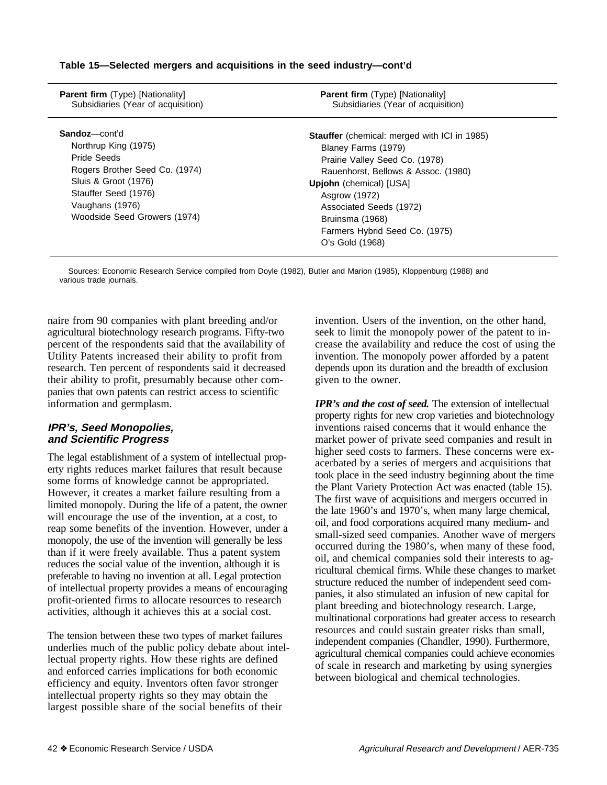| <b>Parent firm</b> (Type) [Nationality]<br>Subsidiaries (Year of acquisition) | <b>Parent firm</b> (Type) [Nationality]<br>Subsidiaries (Year of acquisition) |  |  |  |  |
|-------------------------------------------------------------------------------|-------------------------------------------------------------------------------|--|--|--|--|
| Sandoz—cont'd                                                                 | <b>Stauffer</b> (chemical: merged with ICI in 1985)                           |  |  |  |  |
| Northrup King (1975)<br>Pride Seeds                                           | Blaney Farms (1979)<br>Prairie Valley Seed Co. (1978)                         |  |  |  |  |
| Rogers Brother Seed Co. (1974)<br>Sluis & Groot (1976)                        | Rauenhorst, Bellows & Assoc. (1980)                                           |  |  |  |  |
| Stauffer Seed (1976)<br>Vaughans (1976)                                       | <b>Upjohn</b> (chemical) [USA]<br>Asgrow (1972)<br>Associated Seeds (1972)    |  |  |  |  |
| Woodside Seed Growers (1974)                                                  | Bruinsma (1968)<br>Farmers Hybrid Seed Co. (1975)                             |  |  |  |  |
|                                                                               | O's Gold (1968)                                                               |  |  |  |  |

**Table 15—Selected mergers and acquisitions in the seed industry—cont'd**

Sources: Economic Research Service compiled from Doyle (1982), Butler and Marion (1985), Kloppenburg (1988) and various trade journals.

naire from 90 companies with plant breeding and/or agricultural biotechnology research programs. Fifty-two percent of the respondents said that the availability of Utility Patents increased their ability to profit from research. Ten percent of respondents said it decreased their ability to profit, presumably because other companies that own patents can restrict access to scientific information and germplasm.

## **IPR's, Seed Monopolies, and Scientific Progress**

The legal establishment of a system of intellectual property rights reduces market failures that result because some forms of knowledge cannot be appropriated. However, it creates a market failure resulting from a limited monopoly. During the life of a patent, the owner will encourage the use of the invention, at a cost, to reap some benefits of the invention. However, under a monopoly, the use of the invention will generally be less than if it were freely available. Thus a patent system reduces the social value of the invention, although it is preferable to having no invention at all. Legal protection of intellectual property provides a means of encouraging profit-oriented firms to allocate resources to research activities, although it achieves this at a social cost.

The tension between these two types of market failures underlies much of the public policy debate about intellectual property rights. How these rights are defined and enforced carries implications for both economic efficiency and equity. Inventors often favor stronger intellectual property rights so they may obtain the largest possible share of the social benefits of their

invention. Users of the invention, on the other hand, seek to limit the monopoly power of the patent to increase the availability and reduce the cost of using the invention. The monopoly power afforded by a patent depends upon its duration and the breadth of exclusion given to the owner.

*IPR's and the cost of seed.* The extension of intellectual property rights for new crop varieties and biotechnology inventions raised concerns that it would enhance the market power of private seed companies and result in higher seed costs to farmers. These concerns were exacerbated by a series of mergers and acquisitions that took place in the seed industry beginning about the time the Plant Variety Protection Act was enacted (table 15). The first wave of acquisitions and mergers occurred in the late 1960's and 1970's, when many large chemical, oil, and food corporations acquired many medium- and small-sized seed companies. Another wave of mergers occurred during the 1980's, when many of these food, oil, and chemical companies sold their interests to agricultural chemical firms. While these changes to market structure reduced the number of independent seed companies, it also stimulated an infusion of new capital for plant breeding and biotechnology research. Large, multinational corporations had greater access to research resources and could sustain greater risks than small, independent companies (Chandler, 1990). Furthermore, agricultural chemical companies could achieve economies of scale in research and marketing by using synergies between biological and chemical technologies.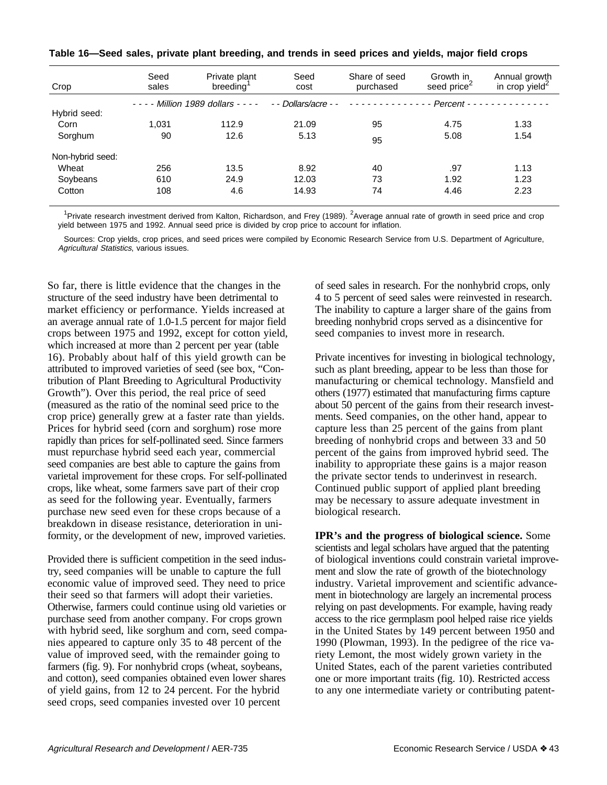| Crop             | Seed<br>sales | Private plant<br>breeding          | Seed<br>cost         | Share of seed<br>purchased | Growth in<br>seed price <sup>2</sup> | Annual growth<br>in crop yield <sup>2</sup> |
|------------------|---------------|------------------------------------|----------------------|----------------------------|--------------------------------------|---------------------------------------------|
|                  |               | $- - -$ Million 1989 dollars $- -$ | - - Dollars/acre - - | .                          |                                      |                                             |
| Hybrid seed:     |               |                                    |                      |                            |                                      |                                             |
| Corn             | 1.031         | 112.9                              | 21.09                | 95                         | 4.75                                 | 1.33                                        |
| Sorghum          | 90            | 12.6                               | 5.13                 | 95                         | 5.08                                 | 1.54                                        |
| Non-hybrid seed: |               |                                    |                      |                            |                                      |                                             |
| Wheat            | 256           | 13.5                               | 8.92                 | 40                         | .97                                  | 1.13                                        |
| Soybeans         | 610           | 24.9                               | 12.03                | 73                         | 1.92                                 | 1.23                                        |
| Cotton           | 108           | 4.6                                | 14.93                | 74                         | 4.46                                 | 2.23                                        |

|  | Table 16—Seed sales, private plant breeding, and trends in seed prices and yields, major field crops |  |  |
|--|------------------------------------------------------------------------------------------------------|--|--|
|--|------------------------------------------------------------------------------------------------------|--|--|

<sup>1</sup>Private research investment derived from Kalton, Richardson, and Frey (1989). <sup>2</sup>Average annual rate of growth in seed price and crop yield between 1975 and 1992. Annual seed price is divided by crop price to account for inflation.

Sources: Crop yields, crop prices, and seed prices were compiled by Economic Research Service from U.S. Department of Agriculture, Agricultural Statistics, various issues.

So far, there is little evidence that the changes in the structure of the seed industry have been detrimental to market efficiency or performance. Yields increased at an average annual rate of 1.0-1.5 percent for major field crops between 1975 and 1992, except for cotton yield, which increased at more than 2 percent per year (table 16). Probably about half of this yield growth can be attributed to improved varieties of seed (see box, "Contribution of Plant Breeding to Agricultural Productivity Growth"). Over this period, the real price of seed (measured as the ratio of the nominal seed price to the crop price) generally grew at a faster rate than yields. Prices for hybrid seed (corn and sorghum) rose more rapidly than prices for self-pollinated seed. Since farmers must repurchase hybrid seed each year, commercial seed companies are best able to capture the gains from varietal improvement for these crops. For self-pollinated crops, like wheat, some farmers save part of their crop as seed for the following year. Eventually, farmers purchase new seed even for these crops because of a breakdown in disease resistance, deterioration in uniformity, or the development of new, improved varieties.

Provided there is sufficient competition in the seed industry, seed companies will be unable to capture the full economic value of improved seed. They need to price their seed so that farmers will adopt their varieties. Otherwise, farmers could continue using old varieties or purchase seed from another company. For crops grown with hybrid seed, like sorghum and corn, seed companies appeared to capture only 35 to 48 percent of the value of improved seed, with the remainder going to farmers (fig. 9). For nonhybrid crops (wheat, soybeans, and cotton), seed companies obtained even lower shares of yield gains, from 12 to 24 percent. For the hybrid seed crops, seed companies invested over 10 percent

of seed sales in research. For the nonhybrid crops, only 4 to 5 percent of seed sales were reinvested in research. The inability to capture a larger share of the gains from breeding nonhybrid crops served as a disincentive for seed companies to invest more in research.

Private incentives for investing in biological technology, such as plant breeding, appear to be less than those for manufacturing or chemical technology. Mansfield and others (1977) estimated that manufacturing firms capture about 50 percent of the gains from their research investments. Seed companies, on the other hand, appear to capture less than 25 percent of the gains from plant breeding of nonhybrid crops and between 33 and 50 percent of the gains from improved hybrid seed. The inability to appropriate these gains is a major reason the private sector tends to underinvest in research. Continued public support of applied plant breeding may be necessary to assure adequate investment in biological research.

**IPR's and the progress of biological science.** Some scientists and legal scholars have argued that the patenting of biological inventions could constrain varietal improvement and slow the rate of growth of the biotechnology industry. Varietal improvement and scientific advancement in biotechnology are largely an incremental process relying on past developments. For example, having ready access to the rice germplasm pool helped raise rice yields in the United States by 149 percent between 1950 and 1990 (Plowman, 1993). In the pedigree of the rice variety Lemont, the most widely grown variety in the United States, each of the parent varieties contributed one or more important traits (fig. 10). Restricted access to any one intermediate variety or contributing patent-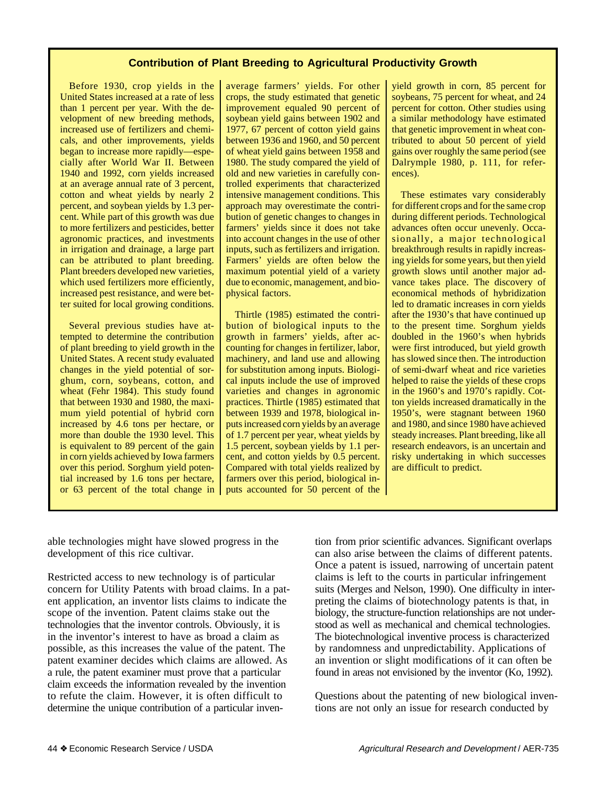### **Contribution of Plant Breeding to Agricultural Productivity Growth**

Before 1930, crop yields in the United States increased at a rate of less than 1 percent per year. With the development of new breeding methods, increased use of fertilizers and chemicals, and other improvements, yields began to increase more rapidly—especially after World War II. Between 1940 and 1992, corn yields increased at an average annual rate of 3 percent, cotton and wheat yields by nearly 2 percent, and soybean yields by 1.3 percent. While part of this growth was due to more fertilizers and pesticides, better agronomic practices, and investments in irrigation and drainage, a large part can be attributed to plant breeding. Plant breeders developed new varieties, which used fertilizers more efficiently, increased pest resistance, and were better suited for local growing conditions.

Several previous studies have attempted to determine the contribution of plant breeding to yield growth in the United States. A recent study evaluated changes in the yield potential of sorghum, corn, soybeans, cotton, and wheat (Fehr 1984). This study found that between 1930 and 1980, the maximum yield potential of hybrid corn increased by 4.6 tons per hectare, or more than double the 1930 level. This is equivalent to 89 percent of the gain in corn yields achieved by Iowa farmers over this period. Sorghum yield potential increased by 1.6 tons per hectare, or 63 percent of the total change in average farmers' yields. For other crops, the study estimated that genetic improvement equaled 90 percent of soybean yield gains between 1902 and 1977, 67 percent of cotton yield gains between 1936 and 1960, and 50 percent of wheat yield gains between 1958 and 1980. The study compared the yield of old and new varieties in carefully controlled experiments that characterized intensive management conditions. This approach may overestimate the contribution of genetic changes to changes in farmers' yields since it does not take into account changes in the use of other inputs, such as fertilizers and irrigation. Farmers' yields are often below the maximum potential yield of a variety due to economic, management, and biophysical factors.

Thirtle (1985) estimated the contribution of biological inputs to the growth in farmers' yields, after accounting for changes in fertilizer, labor, machinery, and land use and allowing for substitution among inputs. Biological inputs include the use of improved varieties and changes in agronomic practices. Thirtle (1985) estimated that between 1939 and 1978, biological inputs increased corn yields by an average of 1.7 percent per year, wheat yields by 1.5 percent, soybean yields by 1.1 percent, and cotton yields by 0.5 percent. Compared with total yields realized by farmers over this period, biological inputs accounted for 50 percent of the yield growth in corn, 85 percent for soybeans, 75 percent for wheat, and 24 percent for cotton. Other studies using a similar methodology have estimated that genetic improvement in wheat contributed to about 50 percent of yield gains over roughly the same period (see Dalrymple 1980, p. 111, for references).

These estimates vary considerably for different crops and for the same crop during different periods. Technological advances often occur unevenly. Occasionally, a major technological breakthrough results in rapidly increasing yields for some years, but then yield growth slows until another major advance takes place. The discovery of economical methods of hybridization led to dramatic increases in corn yields after the 1930's that have continued up to the present time. Sorghum yields doubled in the 1960's when hybrids were first introduced, but yield growth has slowed since then. The introduction of semi-dwarf wheat and rice varieties helped to raise the yields of these crops in the 1960's and 1970's rapidly. Cotton yields increased dramatically in the 1950's, were stagnant between 1960 and 1980, and since 1980 have achieved steady increases. Plant breeding, like all research endeavors, is an uncertain and risky undertaking in which successes are difficult to predict.

able technologies might have slowed progress in the development of this rice cultivar.

Restricted access to new technology is of particular concern for Utility Patents with broad claims. In a patent application, an inventor lists claims to indicate the scope of the invention. Patent claims stake out the technologies that the inventor controls. Obviously, it is in the inventor's interest to have as broad a claim as possible, as this increases the value of the patent. The patent examiner decides which claims are allowed. As a rule, the patent examiner must prove that a particular claim exceeds the information revealed by the invention to refute the claim. However, it is often difficult to determine the unique contribution of a particular invention from prior scientific advances. Significant overlaps can also arise between the claims of different patents. Once a patent is issued, narrowing of uncertain patent claims is left to the courts in particular infringement suits (Merges and Nelson, 1990). One difficulty in interpreting the claims of biotechnology patents is that, in biology, the structure-function relationships are not understood as well as mechanical and chemical technologies. The biotechnological inventive process is characterized by randomness and unpredictability. Applications of an invention or slight modifications of it can often be found in areas not envisioned by the inventor (Ko, 1992).

Questions about the patenting of new biological inventions are not only an issue for research conducted by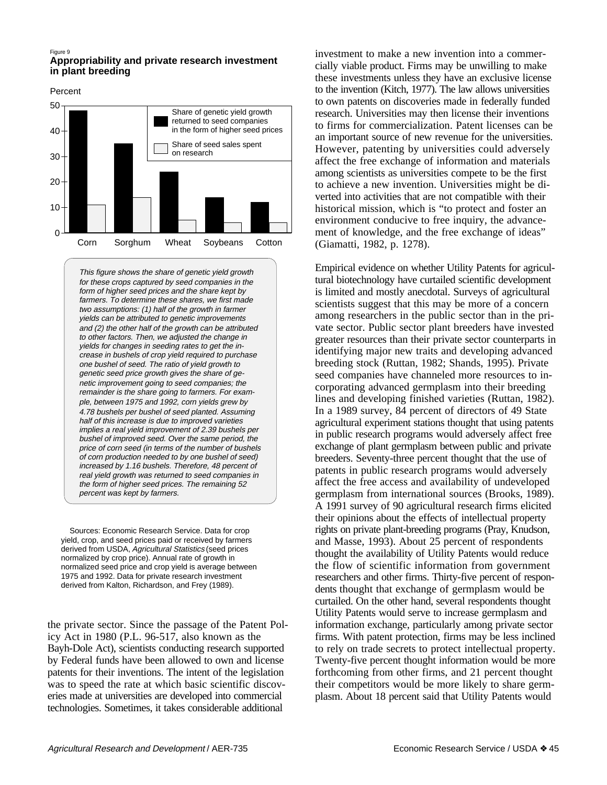#### Figure 9

### **Appropriability and private research investment in plant breeding**

Percent



This figure shows the share of genetic yield growth for these crops captured by seed companies in the form of higher seed prices and the share kept by farmers. To determine these shares, we first made two assumptions: (1) half of the growth in farmer yields can be attributed to genetic improvements and (2) the other half of the growth can be attributed to other factors. Then, we adjusted the change in yields for changes in seeding rates to get the increase in bushels of crop yield required to purchase one bushel of seed. The ratio of yield growth to genetic seed price growth gives the share of genetic improvement going to seed companies; the remainder is the share going to farmers. For example, between 1975 and 1992, corn yields grew by 4.78 bushels per bushel of seed planted. Assuming half of this increase is due to improved varieties implies a real yield improvement of 2.39 bushels per bushel of improved seed. Over the same period, the price of corn seed (in terms of the number of bushels of corn production needed to by one bushel of seed) increased by 1.16 bushels. Therefore, 48 percent of real yield growth was returned to seed companies in the form of higher seed prices. The remaining 52 percent was kept by farmers.

 Sources: Economic Research Service. Data for crop yield, crop, and seed prices paid or received by farmers derived from USDA, Agricultural Statistics (seed prices normalized by crop price). Annual rate of growth in normalized seed price and crop yield is average between 1975 and 1992. Data for private research investment derived from Kalton, Richardson, and Frey (1989).

the private sector. Since the passage of the Patent Policy Act in 1980 (P.L. 96-517, also known as the Bayh-Dole Act), scientists conducting research supported by Federal funds have been allowed to own and license patents for their inventions. The intent of the legislation was to speed the rate at which basic scientific discoveries made at universities are developed into commercial technologies. Sometimes, it takes considerable additional

investment to make a new invention into a commercially viable product. Firms may be unwilling to make these investments unless they have an exclusive license to the invention (Kitch, 1977). The law allows universities to own patents on discoveries made in federally funded research. Universities may then license their inventions to firms for commercialization. Patent licenses can be an important source of new revenue for the universities. However, patenting by universities could adversely affect the free exchange of information and materials among scientists as universities compete to be the first to achieve a new invention. Universities might be diverted into activities that are not compatible with their historical mission, which is "to protect and foster an environment conducive to free inquiry, the advancement of knowledge, and the free exchange of ideas" (Giamatti, 1982, p. 1278).

Empirical evidence on whether Utility Patents for agricultural biotechnology have curtailed scientific development is limited and mostly anecdotal. Surveys of agricultural scientists suggest that this may be more of a concern among researchers in the public sector than in the private sector. Public sector plant breeders have invested greater resources than their private sector counterparts in identifying major new traits and developing advanced breeding stock (Ruttan, 1982; Shands, 1995). Private seed companies have channeled more resources to incorporating advanced germplasm into their breeding lines and developing finished varieties (Ruttan, 1982). In a 1989 survey, 84 percent of directors of 49 State agricultural experiment stations thought that using patents in public research programs would adversely affect free exchange of plant germplasm between public and private breeders. Seventy-three percent thought that the use of patents in public research programs would adversely affect the free access and availability of undeveloped germplasm from international sources (Brooks, 1989). A 1991 survey of 90 agricultural research firms elicited their opinions about the effects of intellectual property rights on private plant-breeding programs (Pray, Knudson, and Masse, 1993). About 25 percent of respondents thought the availability of Utility Patents would reduce the flow of scientific information from government researchers and other firms. Thirty-five percent of respondents thought that exchange of germplasm would be curtailed. On the other hand, several respondents thought Utility Patents would serve to increase germplasm and information exchange, particularly among private sector firms. With patent protection, firms may be less inclined to rely on trade secrets to protect intellectual property. Twenty-five percent thought information would be more forthcoming from other firms, and 21 percent thought their competitors would be more likely to share germplasm. About 18 percent said that Utility Patents would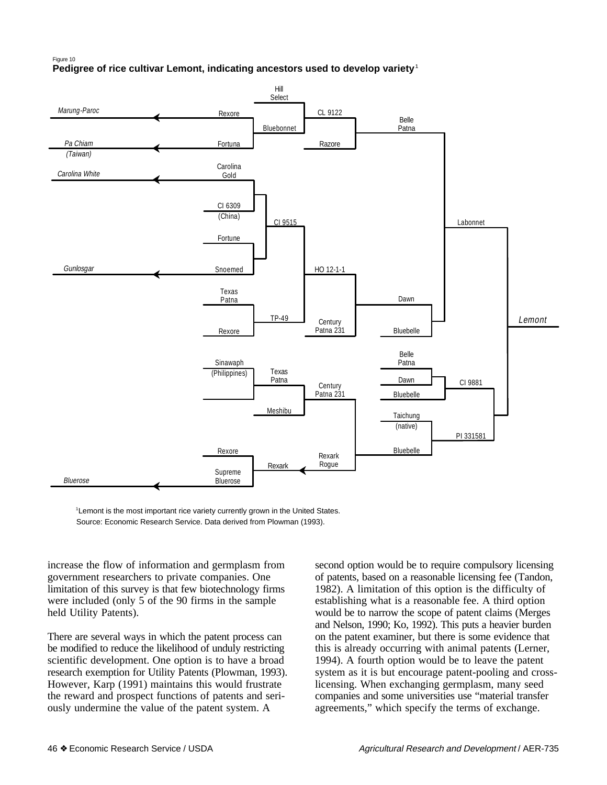#### Pedigree of rice cultivar Lemont, indicating ancestors used to develop variety<sup>1</sup> Figure 10



<sup>1</sup> Lemont is the most important rice variety currently grown in the United States. Source: Economic Research Service. Data derived from Plowman (1993).

increase the flow of information and germplasm from government researchers to private companies. One limitation of this survey is that few biotechnology firms were included (only 5 of the 90 firms in the sample held Utility Patents).

There are several ways in which the patent process can be modified to reduce the likelihood of unduly restricting scientific development. One option is to have a broad research exemption for Utility Patents (Plowman, 1993). However, Karp (1991) maintains this would frustrate the reward and prospect functions of patents and seriously undermine the value of the patent system. A

second option would be to require compulsory licensing of patents, based on a reasonable licensing fee (Tandon, 1982). A limitation of this option is the difficulty of establishing what is a reasonable fee. A third option would be to narrow the scope of patent claims (Merges and Nelson, 1990; Ko, 1992). This puts a heavier burden on the patent examiner, but there is some evidence that this is already occurring with animal patents (Lerner, 1994). A fourth option would be to leave the patent system as it is but encourage patent-pooling and crosslicensing. When exchanging germplasm, many seed companies and some universities use "material transfer agreements," which specify the terms of exchange.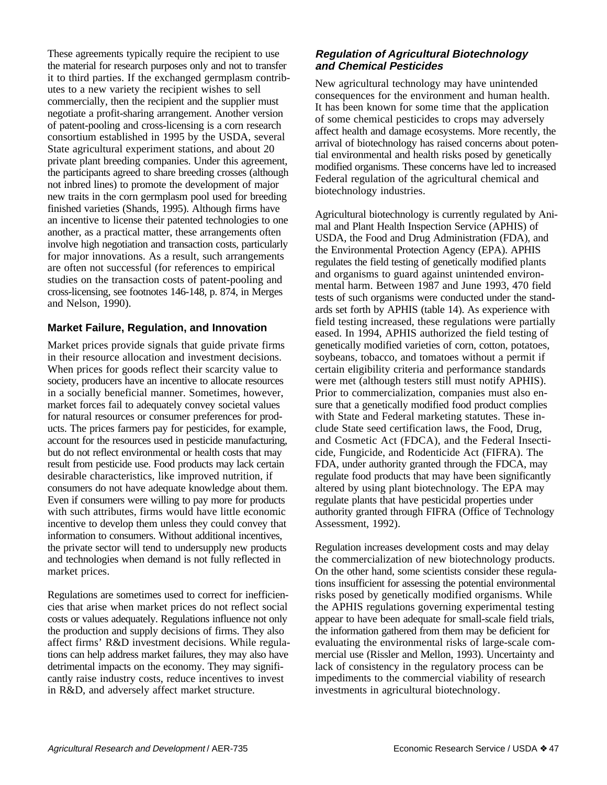These agreements typically require the recipient to use the material for research purposes only and not to transfer it to third parties. If the exchanged germplasm contributes to a new variety the recipient wishes to sell commercially, then the recipient and the supplier must negotiate a profit-sharing arrangement. Another version of patent-pooling and cross-licensing is a corn research consortium established in 1995 by the USDA, several State agricultural experiment stations, and about 20 private plant breeding companies. Under this agreement, the participants agreed to share breeding crosses (although not inbred lines) to promote the development of major new traits in the corn germplasm pool used for breeding finished varieties (Shands, 1995). Although firms have an incentive to license their patented technologies to one another, as a practical matter, these arrangements often involve high negotiation and transaction costs, particularly for major innovations. As a result, such arrangements are often not successful (for references to empirical studies on the transaction costs of patent-pooling and cross-licensing, see footnotes 146-148, p. 874, in Merges and Nelson, 1990).

## **Market Failure, Regulation, and Innovation**

Market prices provide signals that guide private firms in their resource allocation and investment decisions. When prices for goods reflect their scarcity value to society, producers have an incentive to allocate resources in a socially beneficial manner. Sometimes, however, market forces fail to adequately convey societal values for natural resources or consumer preferences for products. The prices farmers pay for pesticides, for example, account for the resources used in pesticide manufacturing, but do not reflect environmental or health costs that may result from pesticide use. Food products may lack certain desirable characteristics, like improved nutrition, if consumers do not have adequate knowledge about them. Even if consumers were willing to pay more for products with such attributes, firms would have little economic incentive to develop them unless they could convey that information to consumers. Without additional incentives, the private sector will tend to undersupply new products and technologies when demand is not fully reflected in market prices.

Regulations are sometimes used to correct for inefficiencies that arise when market prices do not reflect social costs or values adequately. Regulations influence not only the production and supply decisions of firms. They also affect firms' R&D investment decisions. While regulations can help address market failures, they may also have detrimental impacts on the economy. They may significantly raise industry costs, reduce incentives to invest in R&D, and adversely affect market structure.

## **Regulation of Agricultural Biotechnology and Chemical Pesticides**

New agricultural technology may have unintended consequences for the environment and human health. It has been known for some time that the application of some chemical pesticides to crops may adversely affect health and damage ecosystems. More recently, the arrival of biotechnology has raised concerns about potential environmental and health risks posed by genetically modified organisms. These concerns have led to increased Federal regulation of the agricultural chemical and biotechnology industries.

Agricultural biotechnology is currently regulated by Animal and Plant Health Inspection Service (APHIS) of USDA, the Food and Drug Administration (FDA), and the Environmental Protection Agency (EPA). APHIS regulates the field testing of genetically modified plants and organisms to guard against unintended environmental harm. Between 1987 and June 1993, 470 field tests of such organisms were conducted under the standards set forth by APHIS (table 14). As experience with field testing increased, these regulations were partially eased. In 1994, APHIS authorized the field testing of genetically modified varieties of corn, cotton, potatoes, soybeans, tobacco, and tomatoes without a permit if certain eligibility criteria and performance standards were met (although testers still must notify APHIS). Prior to commercialization, companies must also ensure that a genetically modified food product complies with State and Federal marketing statutes. These include State seed certification laws, the Food, Drug, and Cosmetic Act (FDCA), and the Federal Insecticide, Fungicide, and Rodenticide Act (FIFRA). The FDA, under authority granted through the FDCA, may regulate food products that may have been significantly altered by using plant biotechnology. The EPA may regulate plants that have pesticidal properties under authority granted through FIFRA (Office of Technology Assessment, 1992).

Regulation increases development costs and may delay the commercialization of new biotechnology products. On the other hand, some scientists consider these regulations insufficient for assessing the potential environmental risks posed by genetically modified organisms. While the APHIS regulations governing experimental testing appear to have been adequate for small-scale field trials, the information gathered from them may be deficient for evaluating the environmental risks of large-scale commercial use (Rissler and Mellon, 1993). Uncertainty and lack of consistency in the regulatory process can be impediments to the commercial viability of research investments in agricultural biotechnology.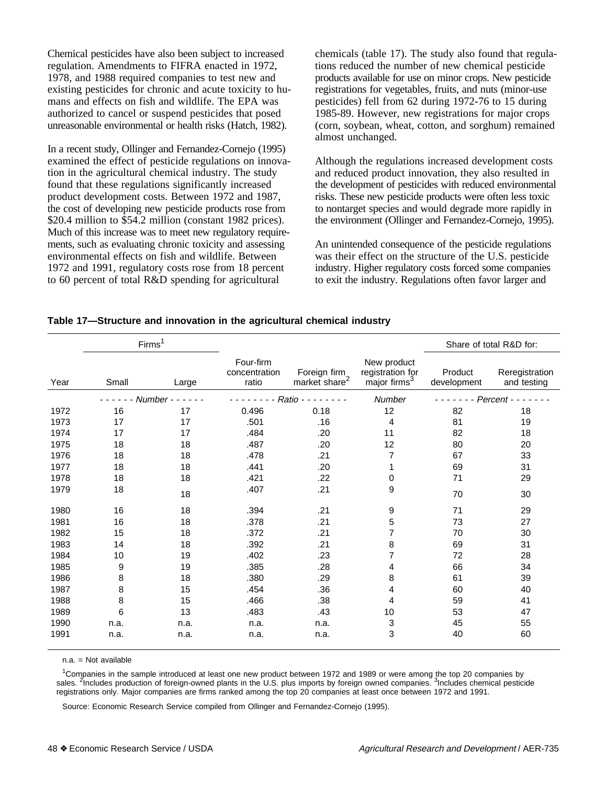Chemical pesticides have also been subject to increased regulation. Amendments to FIFRA enacted in 1972, 1978, and 1988 required companies to test new and existing pesticides for chronic and acute toxicity to humans and effects on fish and wildlife. The EPA was authorized to cancel or suspend pesticides that posed unreasonable environmental or health risks (Hatch, 1982).

In a recent study, Ollinger and Fernandez-Cornejo (1995) examined the effect of pesticide regulations on innovation in the agricultural chemical industry. The study found that these regulations significantly increased product development costs. Between 1972 and 1987, the cost of developing new pesticide products rose from \$20.4 million to \$54.2 million (constant 1982 prices). Much of this increase was to meet new regulatory requirements, such as evaluating chronic toxicity and assessing environmental effects on fish and wildlife. Between 1972 and 1991, regulatory costs rose from 18 percent to 60 percent of total R&D spending for agricultural

chemicals (table 17). The study also found that regulations reduced the number of new chemical pesticide products available for use on minor crops. New pesticide registrations for vegetables, fruits, and nuts (minor-use pesticides) fell from 62 during 1972-76 to 15 during 1985-89. However, new registrations for major crops (corn, soybean, wheat, cotton, and sorghum) remained almost unchanged.

Although the regulations increased development costs and reduced product innovation, they also resulted in the development of pesticides with reduced environmental risks. These new pesticide products were often less toxic to nontarget species and would degrade more rapidly in the environment (Ollinger and Fernandez-Cornejo, 1995).

An unintended consequence of the pesticide regulations was their effect on the structure of the U.S. pesticide industry. Higher regulatory costs forced some companies to exit the industry. Regulations often favor larger and

|      | Firms <sup>1</sup> |          |                                     |                                   |                                                             |                        | Share of total R&D for:       |
|------|--------------------|----------|-------------------------------------|-----------------------------------|-------------------------------------------------------------|------------------------|-------------------------------|
| Year | Small              | Large    | Four-firm<br>concentration<br>ratio | Foreign firm<br>market share $^2$ | New product<br>registration for<br>major firms <sup>3</sup> | Product<br>development | Reregistration<br>and testing |
|      |                    | Number - |                                     | Ratio -                           | Number                                                      |                        | Percent -                     |
| 1972 | 16                 | 17       | 0.496                               | 0.18                              | 12                                                          | 82                     | 18                            |
| 1973 | 17                 | 17       | .501                                | .16                               | 4                                                           | 81                     | 19                            |
| 1974 | 17                 | 17       | .484                                | .20                               | 11                                                          | 82                     | 18                            |
| 1975 | 18                 | 18       | .487                                | .20                               | 12                                                          | 80                     | 20                            |
| 1976 | 18                 | 18       | .478                                | .21                               | 7                                                           | 67                     | 33                            |
| 1977 | 18                 | 18       | .441                                | .20                               |                                                             | 69                     | 31                            |
| 1978 | 18                 | 18       | .421                                | .22                               | 0                                                           | 71                     | 29                            |
| 1979 | 18                 | 18       | .407                                | .21                               | 9                                                           | 70                     | 30                            |
| 1980 | 16                 | 18       | .394                                | .21                               | 9                                                           | 71                     | 29                            |
| 1981 | 16                 | 18       | .378                                | .21                               | 5                                                           | 73                     | 27                            |
| 1982 | 15                 | 18       | .372                                | .21                               | 7                                                           | 70                     | 30                            |
| 1983 | 14                 | 18       | .392                                | .21                               | 8                                                           | 69                     | 31                            |
| 1984 | 10                 | 19       | .402                                | .23                               | 7                                                           | 72                     | 28                            |
| 1985 | 9                  | 19       | .385                                | .28                               | 4                                                           | 66                     | 34                            |
| 1986 | 8                  | 18       | .380                                | .29                               | 8                                                           | 61                     | 39                            |
| 1987 | 8                  | 15       | .454                                | .36                               | 4                                                           | 60                     | 40                            |
| 1988 | 8                  | 15       | .466                                | .38                               | 4                                                           | 59                     | 41                            |
| 1989 | 6                  | 13       | .483                                | .43                               | 10                                                          | 53                     | 47                            |
| 1990 | n.a.               | n.a.     | n.a.                                | n.a.                              | 3                                                           | 45                     | 55                            |
| 1991 | n.a.               | n.a.     | n.a.                                | n.a.                              | 3                                                           | 40                     | 60                            |

|  |  |  | Table 17-Structure and innovation in the agricultural chemical industry |  |
|--|--|--|-------------------------------------------------------------------------|--|
|  |  |  |                                                                         |  |

n.a. = Not available

1 Companies in the sample introduced at least one new product between 1972 and 1989 or were among the top 20 companies by sales. <sup>2</sup>Includes production of foreign-owned plants in the U.S. plus imports by foreign owned companies. <sup>3</sup>Includes chemical pesticide registrations only. Major companies are firms ranked among the top 20 companies at least once between 1972 and 1991.

Source: Economic Research Service compiled from Ollinger and Fernandez-Cornejo (1995).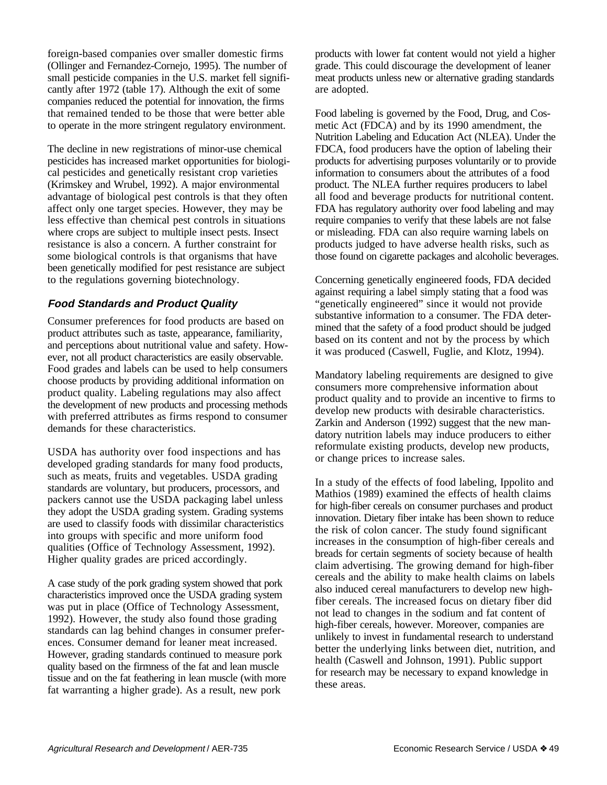foreign-based companies over smaller domestic firms (Ollinger and Fernandez-Cornejo, 1995). The number of small pesticide companies in the U.S. market fell significantly after 1972 (table 17). Although the exit of some companies reduced the potential for innovation, the firms that remained tended to be those that were better able to operate in the more stringent regulatory environment.

The decline in new registrations of minor-use chemical pesticides has increased market opportunities for biological pesticides and genetically resistant crop varieties (Krimskey and Wrubel, 1992). A major environmental advantage of biological pest controls is that they often affect only one target species. However, they may be less effective than chemical pest controls in situations where crops are subject to multiple insect pests. Insect resistance is also a concern. A further constraint for some biological controls is that organisms that have been genetically modified for pest resistance are subject to the regulations governing biotechnology.

## **Food Standards and Product Quality**

Consumer preferences for food products are based on product attributes such as taste, appearance, familiarity, and perceptions about nutritional value and safety. However, not all product characteristics are easily observable. Food grades and labels can be used to help consumers choose products by providing additional information on product quality. Labeling regulations may also affect the development of new products and processing methods with preferred attributes as firms respond to consumer demands for these characteristics.

USDA has authority over food inspections and has developed grading standards for many food products, such as meats, fruits and vegetables. USDA grading standards are voluntary, but producers, processors, and packers cannot use the USDA packaging label unless they adopt the USDA grading system. Grading systems are used to classify foods with dissimilar characteristics into groups with specific and more uniform food qualities (Office of Technology Assessment, 1992). Higher quality grades are priced accordingly.

A case study of the pork grading system showed that pork characteristics improved once the USDA grading system was put in place (Office of Technology Assessment, 1992). However, the study also found those grading standards can lag behind changes in consumer preferences. Consumer demand for leaner meat increased. However, grading standards continued to measure pork quality based on the firmness of the fat and lean muscle tissue and on the fat feathering in lean muscle (with more fat warranting a higher grade). As a result, new pork

products with lower fat content would not yield a higher grade. This could discourage the development of leaner meat products unless new or alternative grading standards are adopted.

Food labeling is governed by the Food, Drug, and Cosmetic Act (FDCA) and by its 1990 amendment, the Nutrition Labeling and Education Act (NLEA). Under the FDCA, food producers have the option of labeling their products for advertising purposes voluntarily or to provide information to consumers about the attributes of a food product. The NLEA further requires producers to label all food and beverage products for nutritional content. FDA has regulatory authority over food labeling and may require companies to verify that these labels are not false or misleading. FDA can also require warning labels on products judged to have adverse health risks, such as those found on cigarette packages and alcoholic beverages.

Concerning genetically engineered foods, FDA decided against requiring a label simply stating that a food was "genetically engineered" since it would not provide substantive information to a consumer. The FDA determined that the safety of a food product should be judged based on its content and not by the process by which it was produced (Caswell, Fuglie, and Klotz, 1994).

Mandatory labeling requirements are designed to give consumers more comprehensive information about product quality and to provide an incentive to firms to develop new products with desirable characteristics. Zarkin and Anderson (1992) suggest that the new mandatory nutrition labels may induce producers to either reformulate existing products, develop new products, or change prices to increase sales.

In a study of the effects of food labeling, Ippolito and Mathios (1989) examined the effects of health claims for high-fiber cereals on consumer purchases and product innovation. Dietary fiber intake has been shown to reduce the risk of colon cancer. The study found significant increases in the consumption of high-fiber cereals and breads for certain segments of society because of health claim advertising. The growing demand for high-fiber cereals and the ability to make health claims on labels also induced cereal manufacturers to develop new highfiber cereals. The increased focus on dietary fiber did not lead to changes in the sodium and fat content of high-fiber cereals, however. Moreover, companies are unlikely to invest in fundamental research to understand better the underlying links between diet, nutrition, and health (Caswell and Johnson, 1991). Public support for research may be necessary to expand knowledge in these areas.